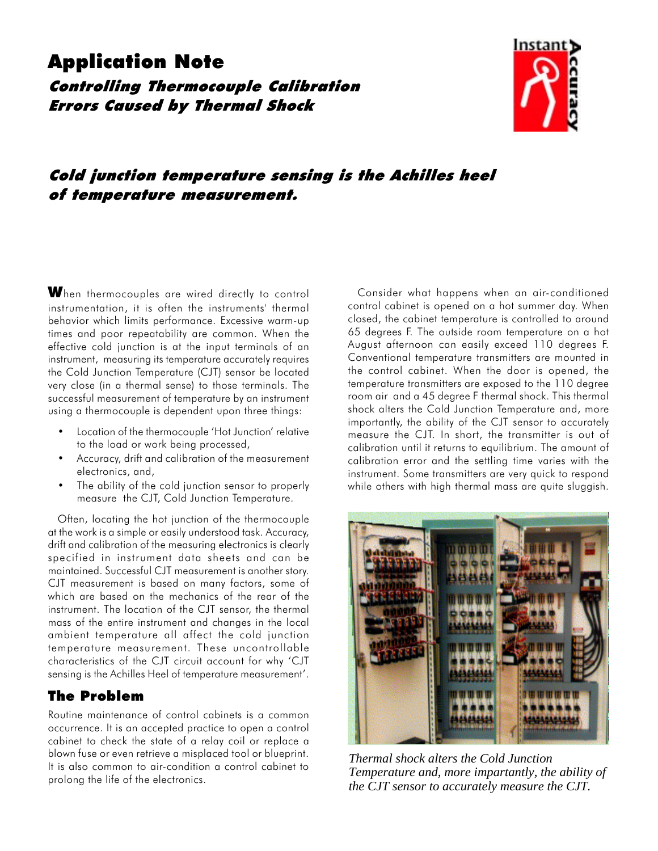# Application Note

Controlling Thermocouple Calibration Errors Caused by Thermal Shock



## Cold junction temperature sensing is the Achilles heel of temperature measurement.

When thermocouples are wired directly to control instrumentation, it is often the instruments' thermal behavior which limits performance. Excessive warm-up times and poor repeatability are common. When the effective cold junction is at the input terminals of an instrument, measuring its temperature accurately requires the Cold Junction Temperature (CJT) sensor be located very close (in a thermal sense) to those terminals. The successful measurement of temperature by an instrument using a thermocouple is dependent upon three things:

- Location of the thermocouple 'Hot Junction' relative to the load or work being processed,
- Accuracy, drift and calibration of the measurement electronics, and,
- The ability of the cold junction sensor to properly measure the CJT, Cold Junction Temperature.

Often, locating the hot junction of the thermocouple at the work is a simple or easily understood task. Accuracy, drift and calibration of the measuring electronics is clearly specified in instrument data sheets and can be maintained. Successful CJT measurement is another story. CJT measurement is based on many factors, some of which are based on the mechanics of the rear of the instrument. The location of the CJT sensor, the thermal mass of the entire instrument and changes in the local ambient temperature all affect the cold junction temperature measurement. These uncontrollable characteristics of the CJT circuit account for why CJT sensing is the Achilles Heel of temperature measurement'.

### The Problem

Routine maintenance of control cabinets is a common occurrence. It is an accepted practice to open a control cabinet to check the state of a relay coil or replace a blown fuse or even retrieve a misplaced tool or blueprint. It is also common to air-condition a control cabinet to prolong the life of the electronics.

Consider what happens when an air-conditioned control cabinet is opened on a hot summer day. When closed, the cabinet temperature is controlled to around 65 degrees F. The outside room temperature on a hot August afternoon can easily exceed 110 degrees F. Conventional temperature transmitters are mounted in the control cabinet. When the door is opened, the temperature transmitters are exposed to the 110 degree room air and a 45 degree F thermal shock. This thermal shock alters the Cold Junction Temperature and, more importantly, the ability of the CJT sensor to accurately measure the CJT. In short, the transmitter is out of calibration until it returns to equilibrium. The amount of calibration error and the settling time varies with the instrument. Some transmitters are very quick to respond while others with high thermal mass are quite sluggish.



*Thermal shock alters the Cold Junction Temperature and, more impartantly, the ability of the CJT sensor to accurately measure the CJT.*